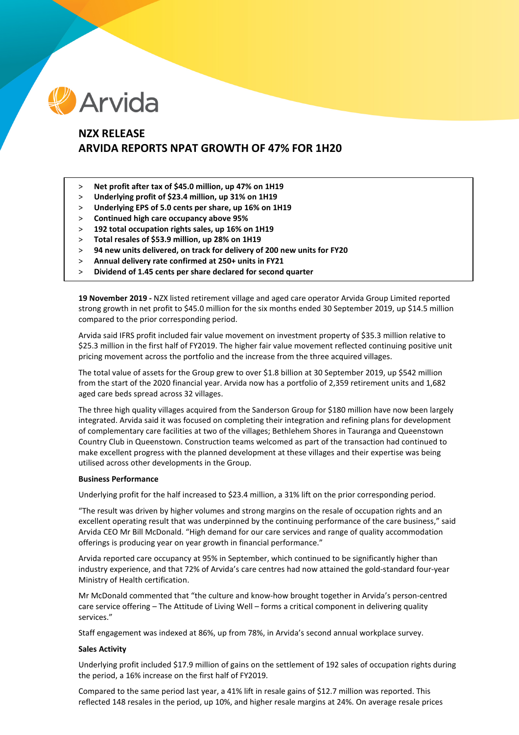

# **NZX RELEASE ARVIDA REPORTS NPAT GROWTH OF 47% FOR 1H20**

- > **Net profit after tax of \$45.0 million, up 47% on 1H19**
- > **Underlying profit of \$23.4 million, up 31% on 1H19**
- > **Underlying EPS of 5.0 cents per share, up 16% on 1H19**
- > **Continued high care occupancy above 95%**
- > **192 total occupation rights sales, up 16% on 1H19**
- > **Total resales of \$53.9 million, up 28% on 1H19**
- > **94 new units delivered, on track for delivery of 200 new units for FY20**
- > **Annual delivery rate confirmed at 250+ units in FY21**
- > **Dividend of 1.45 cents per share declared for second quarter**

**19 November 2019 -** NZX listed retirement village and aged care operator Arvida Group Limited reported strong growth in net profit to \$45.0 million for the six months ended 30 September 2019, up \$14.5 million compared to the prior corresponding period.

Arvida said IFRS profit included fair value movement on investment property of \$35.3 million relative to \$25.3 million in the first half of FY2019. The higher fair value movement reflected continuing positive unit pricing movement across the portfolio and the increase from the three acquired villages.

The total value of assets for the Group grew to over \$1.8 billion at 30 September 2019, up \$542 million from the start of the 2020 financial year. Arvida now has a portfolio of 2,359 retirement units and 1,682 aged care beds spread across 32 villages.

The three high quality villages acquired from the Sanderson Group for \$180 million have now been largely integrated. Arvida said it was focused on completing their integration and refining plans for development of complementary care facilities at two of the villages; Bethlehem Shores in Tauranga and Queenstown Country Club in Queenstown. Construction teams welcomed as part of the transaction had continued to make excellent progress with the planned development at these villages and their expertise was being utilised across other developments in the Group.

## **Business Performance**

Underlying profit for the half increased to \$23.4 million, a 31% lift on the prior corresponding period.

"The result was driven by higher volumes and strong margins on the resale of occupation rights and an excellent operating result that was underpinned by the continuing performance of the care business," said Arvida CEO Mr Bill McDonald. "High demand for our care services and range of quality accommodation offerings is producing year on year growth in financial performance."

Arvida reported care occupancy at 95% in September, which continued to be significantly higher than industry experience, and that 72% of Arvida's care centres had now attained the gold-standard four-year Ministry of Health certification.

Mr McDonald commented that "the culture and know-how brought together in Arvida's person-centred care service offering – The Attitude of Living Well – forms a critical component in delivering quality services."

Staff engagement was indexed at 86%, up from 78%, in Arvida's second annual workplace survey.

### **Sales Activity**

Underlying profit included \$17.9 million of gains on the settlement of 192 sales of occupation rights during the period, a 16% increase on the first half of FY2019.

Compared to the same period last year, a 41% lift in resale gains of \$12.7 million was reported. This reflected 148 resales in the period, up 10%, and higher resale margins at 24%. On average resale prices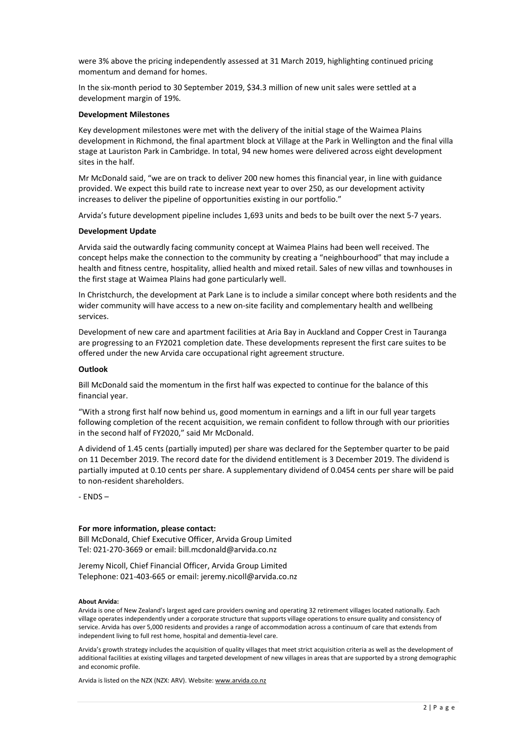were 3% above the pricing independently assessed at 31 March 2019, highlighting continued pricing momentum and demand for homes.

In the six-month period to 30 September 2019, \$34.3 million of new unit sales were settled at a development margin of 19%.

#### **Development Milestones**

Key development milestones were met with the delivery of the initial stage of the Waimea Plains development in Richmond, the final apartment block at Village at the Park in Wellington and the final villa stage at Lauriston Park in Cambridge. In total, 94 new homes were delivered across eight development sites in the half.

Mr McDonald said, "we are on track to deliver 200 new homes this financial year, in line with guidance provided. We expect this build rate to increase next year to over 250, as our development activity increases to deliver the pipeline of opportunities existing in our portfolio."

Arvida's future development pipeline includes 1,693 units and beds to be built over the next 5-7 years.

#### **Development Update**

Arvida said the outwardly facing community concept at Waimea Plains had been well received. The concept helps make the connection to the community by creating a "neighbourhood" that may include a health and fitness centre, hospitality, allied health and mixed retail. Sales of new villas and townhouses in the first stage at Waimea Plains had gone particularly well.

In Christchurch, the development at Park Lane is to include a similar concept where both residents and the wider community will have access to a new on-site facility and complementary health and wellbeing services.

Development of new care and apartment facilities at Aria Bay in Auckland and Copper Crest in Tauranga are progressing to an FY2021 completion date. These developments represent the first care suites to be offered under the new Arvida care occupational right agreement structure.

#### **Outlook**

Bill McDonald said the momentum in the first half was expected to continue for the balance of this financial year.

"With a strong first half now behind us, good momentum in earnings and a lift in our full year targets following completion of the recent acquisition, we remain confident to follow through with our priorities in the second half of FY2020," said Mr McDonald.

A dividend of 1.45 cents (partially imputed) per share was declared for the September quarter to be paid on 11 December 2019. The record date for the dividend entitlement is 3 December 2019. The dividend is partially imputed at 0.10 cents per share. A supplementary dividend of 0.0454 cents per share will be paid to non-resident shareholders.

- ENDS –

#### **For more information, please contact:**

Bill McDonald, Chief Executive Officer, Arvida Group Limited Tel: 021-270-3669 or email: bill.mcdonald@arvida.co.nz

Jeremy Nicoll, Chief Financial Officer, Arvida Group Limited Telephone: 021-403-665 or email: jeremy.nicoll@arvida.co.nz

#### **About Arvida:**

Arvida is one of New Zealand's largest aged care providers owning and operating 32 retirement villages located nationally. Each village operates independently under a corporate structure that supports village operations to ensure quality and consistency of service. Arvida has over 5,000 residents and provides a range of accommodation across a continuum of care that extends from independent living to full rest home, hospital and dementia-level care.

Arvida's growth strategy includes the acquisition of quality villages that meet strict acquisition criteria as well as the development of additional facilities at existing villages and targeted development of new villages in areas that are supported by a strong demographic and economic profile.

Arvida is listed on the NZX (NZX: ARV). Website[: www.arvida.co.nz](http://www.arvida.co.nz/)